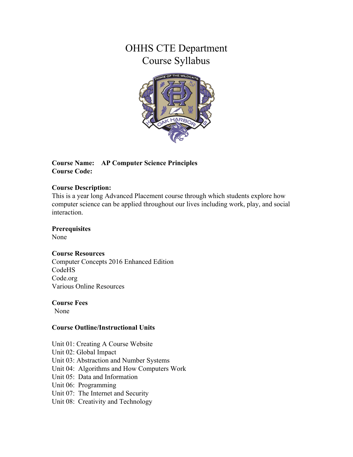# OHHS CTE Department Course Syllabus



#### **Course Name: AP Computer Science Principles Course Code:**

#### **Course Description:**

This is a year long Advanced Placement course through which students explore how computer science can be applied throughout our lives including work, play, and social interaction.

#### **Prerequisites**

None

#### **Course Resources**

Computer Concepts 2016 Enhanced Edition CodeHS Code.org Various Online Resources

#### **Course Fees**

None

## **Course Outline/Instructional Units**

Unit 01: Creating A Course Website

- Unit 02: Global Impact
- Unit 03: Abstraction and Number Systems
- Unit 04: Algorithms and How Computers Work
- Unit 05: Data and Information
- Unit 06: Programming
- Unit 07: The Internet and Security
- Unit 08: Creativity and Technology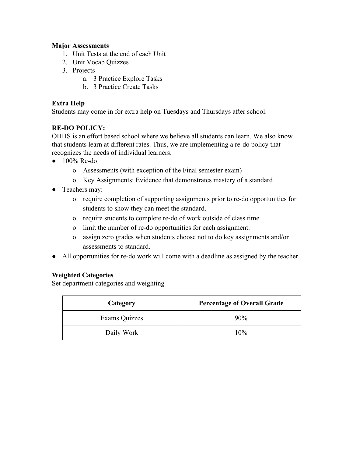#### **Major Assessments**

- 1. Unit Tests at the end of each Unit
- 2. Unit Vocab Quizzes
- 3. Projects
	- a. 3 Practice Explore Tasks
	- b. 3 Practice Create Tasks

## **Extra Help**

Students may come in for extra help on Tuesdays and Thursdays after school.

## **RE-DO POLICY:**

OHHS is an effort based school where we believe all students can learn. We also know that students learn at different rates. Thus, we are implementing a re-do policy that recognizes the needs of individual learners.

- $\bullet$  100% Re-do
	- o Assessments (with exception of the Final semester exam)
	- o Key Assignments: Evidence that demonstrates mastery of a standard
- Teachers may:
	- o require completion of supporting assignments prior to re-do opportunities for students to show they can meet the standard.
	- o require students to complete re-do of work outside of class time.
	- o limit the number of re-do opportunities for each assignment.
	- o assign zero grades when students choose not to do key assignments and/or assessments to standard.
- All opportunities for re-do work will come with a deadline as assigned by the teacher.

## **Weighted Categories**

Set department categories and weighting

| Category      | <b>Percentage of Overall Grade</b> |
|---------------|------------------------------------|
| Exams Quizzes | 90%                                |
| Daily Work    | 10%                                |